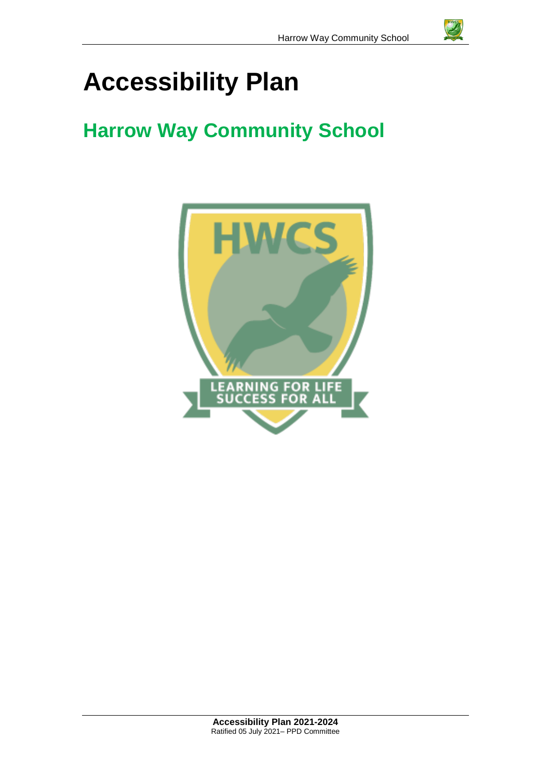# **Accessibility Plan**

## **Harrow Way Community School**

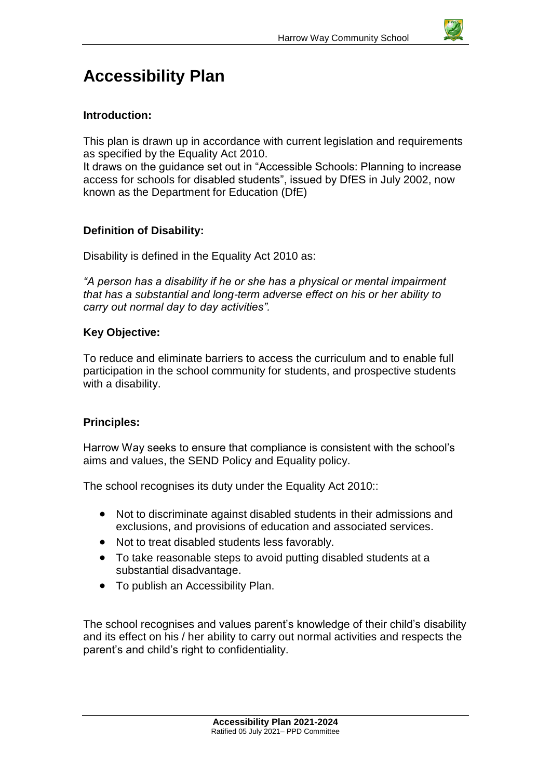

### **Accessibility Plan**

#### **Introduction:**

This plan is drawn up in accordance with current legislation and requirements as specified by the Equality Act 2010.

It draws on the guidance set out in "Accessible Schools: Planning to increase access for schools for disabled students", issued by DfES in July 2002, now known as the Department for Education (DfE)

#### **Definition of Disability:**

Disability is defined in the Equality Act 2010 as:

*"A person has a disability if he or she has a physical or mental impairment that has a substantial and long-term adverse effect on his or her ability to carry out normal day to day activities".*

#### **Key Objective:**

To reduce and eliminate barriers to access the curriculum and to enable full participation in the school community for students, and prospective students with a disability.

#### **Principles:**

Harrow Way seeks to ensure that compliance is consistent with the school's aims and values, the SEND Policy and Equality policy.

The school recognises its duty under the Equality Act 2010::

- Not to discriminate against disabled students in their admissions and exclusions, and provisions of education and associated services.
- Not to treat disabled students less favorably.
- To take reasonable steps to avoid putting disabled students at a substantial disadvantage.
- To publish an Accessibility Plan.

The school recognises and values parent's knowledge of their child's disability and its effect on his / her ability to carry out normal activities and respects the parent's and child's right to confidentiality.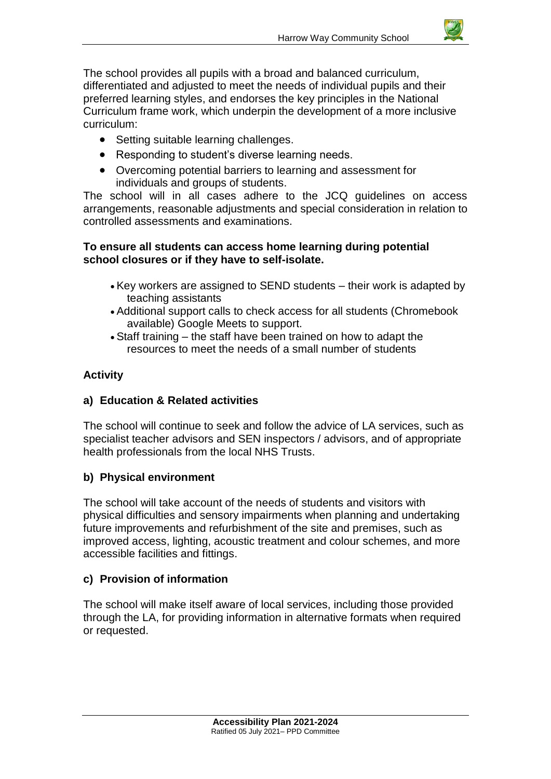

The school provides all pupils with a broad and balanced curriculum, differentiated and adjusted to meet the needs of individual pupils and their preferred learning styles, and endorses the key principles in the National Curriculum frame work, which underpin the development of a more inclusive curriculum:

- Setting suitable learning challenges.
- Responding to student's diverse learning needs.
- Overcoming potential barriers to learning and assessment for individuals and groups of students.

The school will in all cases adhere to the JCQ guidelines on access arrangements, reasonable adjustments and special consideration in relation to controlled assessments and examinations.

#### **To ensure all students can access home learning during potential school closures or if they have to self-isolate.**

- Key workers are assigned to SEND students their work is adapted by teaching assistants
- Additional support calls to check access for all students (Chromebook available) Google Meets to support.
- Staff training the staff have been trained on how to adapt the resources to meet the needs of a small number of students

#### **Activity**

#### **a) Education & Related activities**

The school will continue to seek and follow the advice of LA services, such as specialist teacher advisors and SEN inspectors / advisors, and of appropriate health professionals from the local NHS Trusts.

#### **b) Physical environment**

The school will take account of the needs of students and visitors with physical difficulties and sensory impairments when planning and undertaking future improvements and refurbishment of the site and premises, such as improved access, lighting, acoustic treatment and colour schemes, and more accessible facilities and fittings.

#### **c) Provision of information**

The school will make itself aware of local services, including those provided through the LA, for providing information in alternative formats when required or requested.